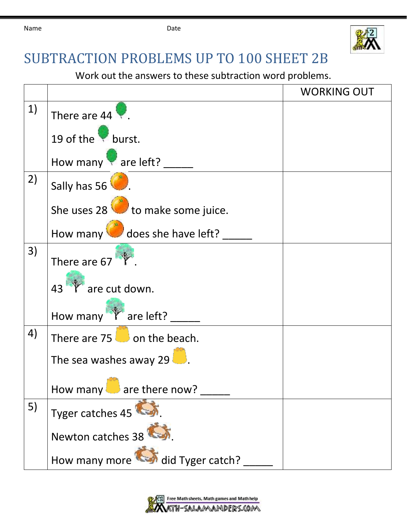

## SUBTRACTION PROBLEMS UP TO 100 SHEET 2B

Work out the answers to these subtraction word problems.

|    |                                        | <b>WORKING OUT</b> |
|----|----------------------------------------|--------------------|
| 1) | There are $44$                         |                    |
|    | 19 of the burst.                       |                    |
|    | How many are left?                     |                    |
| 2) | Sally has 56                           |                    |
|    | She uses $28$ to make some juice.      |                    |
|    | How many does she have left?           |                    |
| 3) | There are 67                           |                    |
|    | 43 Tare cut down.                      |                    |
|    | How many T are left?                   |                    |
| 4) | There are $75$ on the beach.           |                    |
|    | The sea washes away 29                 |                    |
|    | How many $\blacksquare$ are there now? |                    |
| 5) | Tyger catches 45                       |                    |
|    | Newton catches 38                      |                    |
|    | How many more did Tyger catch?         |                    |